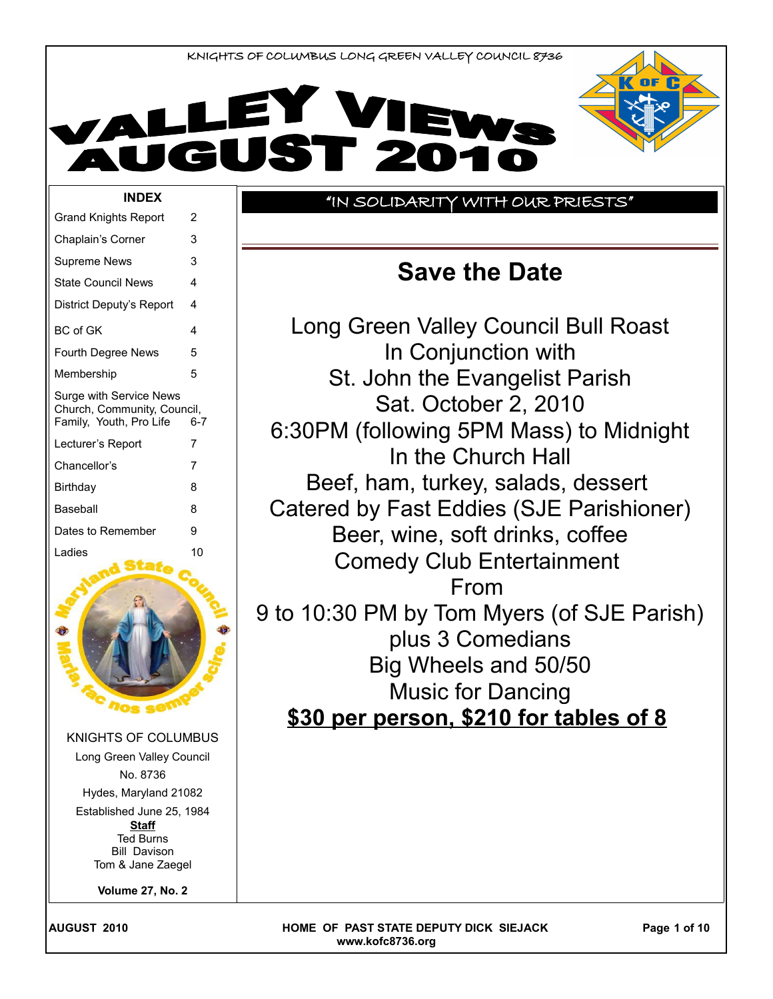



#### "IN SOLIDARITY WITH OUR PRIESTS"

## **Save the Date**

Long Green Valley Council Bull Roast In Conjunction with St. John the Evangelist Parish Sat. October 2, 2010 6:30PM (following 5PM Mass) to Midnight In the Church Hall Beef, ham, turkey, salads, dessert Catered by Fast Eddies (SJE Parishioner) Beer, wine, soft drinks, coffee Comedy Club Entertainment From 9 to 10:30 PM by Tom Myers (of SJE Parish) plus 3 Comedians Big Wheels and 50/50 Music for Dancing **\$30 per person, \$210 for tables of 8**

| <b>BC</b> of GK         |                                                                                                                                                                                                                               | 4   |
|-------------------------|-------------------------------------------------------------------------------------------------------------------------------------------------------------------------------------------------------------------------------|-----|
| Fourth Degree News      |                                                                                                                                                                                                                               | 5   |
| Membership              |                                                                                                                                                                                                                               | 5   |
| Family, Youth, Pro Life | Surge with Service News<br>Church, Community, Council,                                                                                                                                                                        | 6-7 |
| Lecturer's Report       |                                                                                                                                                                                                                               | 7   |
| Chancellor's            |                                                                                                                                                                                                                               | 7   |
| Birthday                |                                                                                                                                                                                                                               | 8   |
| Baseball                |                                                                                                                                                                                                                               | 8   |
| Dates to Remember       |                                                                                                                                                                                                                               | 9   |
| Ladies                  |                                                                                                                                                                                                                               | 10  |
|                         | <b>Nos seff</b>                                                                                                                                                                                                               |     |
|                         | <b>KNIGHTS OF COLUMBUS</b><br>Long Green Valley Council<br>No. 8736<br>Hydes, Maryland 21082<br>Established June 25, 1984<br><b>Staff</b><br><b>Ted Burns</b><br><b>Bill Davison</b><br>Tom & Jane Zaegel<br>Volume 27, No. 2 |     |
|                         |                                                                                                                                                                                                                               |     |

Grand Knights Report 2 Chaplain's Corner 3 Supreme News 3 State Council News 4 District Deputy's Report 4

**AUGUST 2010 COMERGIA COMPUTE OF PAST STATE DEPUTY DICK SIEJACK Page 1 of 10 www.kofc8736.org**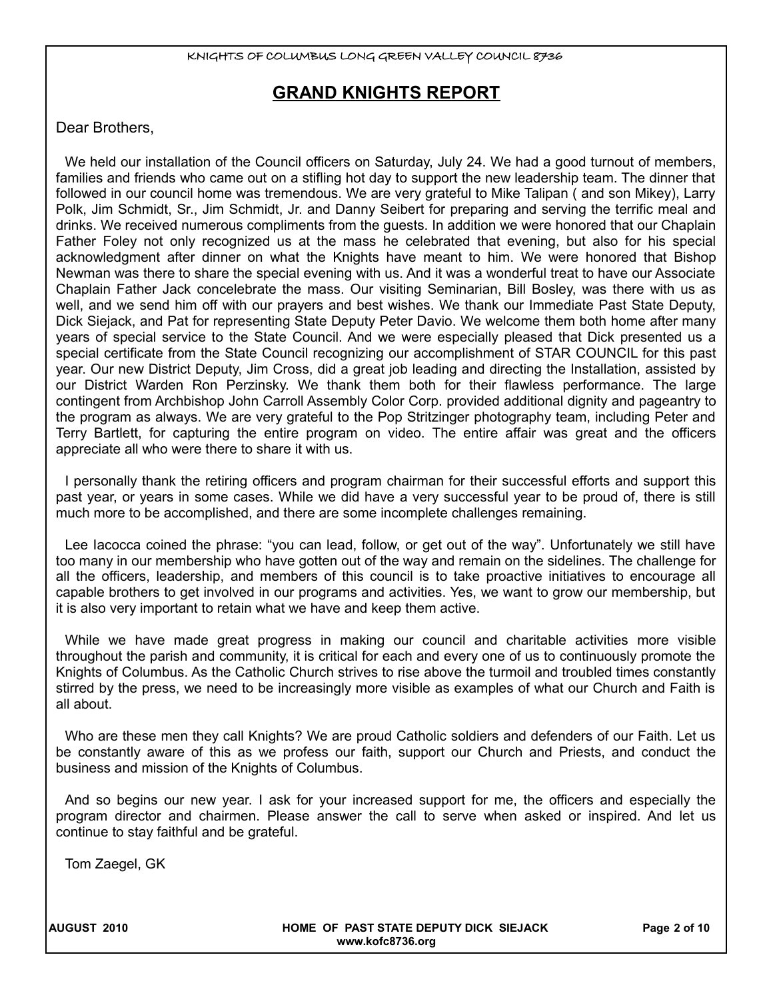## **GRAND KNIGHTS REPORT**

#### Dear Brothers,

We held our installation of the Council officers on Saturday, July 24. We had a good turnout of members, families and friends who came out on a stifling hot day to support the new leadership team. The dinner that followed in our council home was tremendous. We are very grateful to Mike Talipan ( and son Mikey), Larry Polk, Jim Schmidt, Sr., Jim Schmidt, Jr. and Danny Seibert for preparing and serving the terrific meal and drinks. We received numerous compliments from the guests. In addition we were honored that our Chaplain Father Foley not only recognized us at the mass he celebrated that evening, but also for his special acknowledgment after dinner on what the Knights have meant to him. We were honored that Bishop Newman was there to share the special evening with us. And it was a wonderful treat to have our Associate Chaplain Father Jack concelebrate the mass. Our visiting Seminarian, Bill Bosley, was there with us as well, and we send him off with our prayers and best wishes. We thank our Immediate Past State Deputy, Dick Siejack, and Pat for representing State Deputy Peter Davio. We welcome them both home after many years of special service to the State Council. And we were especially pleased that Dick presented us a special certificate from the State Council recognizing our accomplishment of STAR COUNCIL for this past year. Our new District Deputy, Jim Cross, did a great job leading and directing the Installation, assisted by our District Warden Ron Perzinsky. We thank them both for their flawless performance. The large contingent from Archbishop John Carroll Assembly Color Corp. provided additional dignity and pageantry to the program as always. We are very grateful to the Pop Stritzinger photography team, including Peter and Terry Bartlett, for capturing the entire program on video. The entire affair was great and the officers appreciate all who were there to share it with us.

I personally thank the retiring officers and program chairman for their successful efforts and support this past year, or years in some cases. While we did have a very successful year to be proud of, there is still much more to be accomplished, and there are some incomplete challenges remaining.

Lee Iacocca coined the phrase: "you can lead, follow, or get out of the way". Unfortunately we still have too many in our membership who have gotten out of the way and remain on the sidelines. The challenge for all the officers, leadership, and members of this council is to take proactive initiatives to encourage all capable brothers to get involved in our programs and activities. Yes, we want to grow our membership, but it is also very important to retain what we have and keep them active.

While we have made great progress in making our council and charitable activities more visible throughout the parish and community, it is critical for each and every one of us to continuously promote the Knights of Columbus. As the Catholic Church strives to rise above the turmoil and troubled times constantly stirred by the press, we need to be increasingly more visible as examples of what our Church and Faith is all about.

Who are these men they call Knights? We are proud Catholic soldiers and defenders of our Faith. Let us be constantly aware of this as we profess our faith, support our Church and Priests, and conduct the business and mission of the Knights of Columbus.

And so begins our new year. I ask for your increased support for me, the officers and especially the program director and chairmen. Please answer the call to serve when asked or inspired. And let us continue to stay faithful and be grateful.

Tom Zaegel, GK

**AUGUST 2010 HOME OF PAST STATE DEPUTY DICK SIEJACK Page 2 of 10 www.kofc8736.org**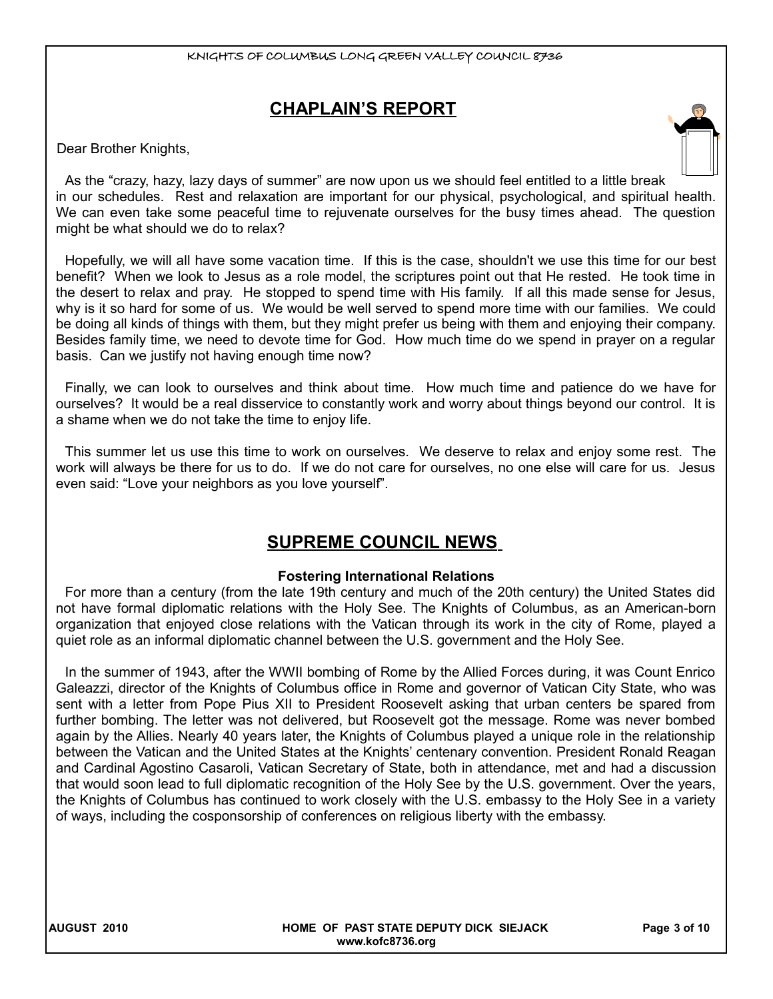## **CHAPLAIN'S REPORT**

Dear Brother Knights,

As the "crazy, hazy, lazy days of summer" are now upon us we should feel entitled to a little break in our schedules. Rest and relaxation are important for our physical, psychological, and spiritual health. We can even take some peaceful time to rejuvenate ourselves for the busy times ahead. The question might be what should we do to relax?

Hopefully, we will all have some vacation time. If this is the case, shouldn't we use this time for our best benefit? When we look to Jesus as a role model, the scriptures point out that He rested. He took time in the desert to relax and pray. He stopped to spend time with His family. If all this made sense for Jesus, why is it so hard for some of us. We would be well served to spend more time with our families. We could be doing all kinds of things with them, but they might prefer us being with them and enjoying their company. Besides family time, we need to devote time for God. How much time do we spend in prayer on a regular basis. Can we justify not having enough time now?

Finally, we can look to ourselves and think about time. How much time and patience do we have for ourselves? It would be a real disservice to constantly work and worry about things beyond our control. It is a shame when we do not take the time to enjoy life.

This summer let us use this time to work on ourselves. We deserve to relax and enjoy some rest. The work will always be there for us to do. If we do not care for ourselves, no one else will care for us. Jesus even said: "Love your neighbors as you love yourself".

## **SUPREME COUNCIL NEWS**

#### **Fostering International Relations**

For more than a century (from the late 19th century and much of the 20th century) the United States did not have formal diplomatic relations with the Holy See. The Knights of Columbus, as an American-born organization that enjoyed close relations with the Vatican through its work in the city of Rome, played a quiet role as an informal diplomatic channel between the U.S. government and the Holy See.

In the summer of 1943, after the WWII bombing of Rome by the Allied Forces during, it was Count Enrico Galeazzi, director of the Knights of Columbus office in Rome and governor of Vatican City State, who was sent with a letter from Pope Pius XII to President Roosevelt asking that urban centers be spared from further bombing. The letter was not delivered, but Roosevelt got the message. Rome was never bombed again by the Allies. Nearly 40 years later, the Knights of Columbus played a unique role in the relationship between the Vatican and the United States at the Knights' centenary convention. President Ronald Reagan and Cardinal Agostino Casaroli, Vatican Secretary of State, both in attendance, met and had a discussion that would soon lead to full diplomatic recognition of the Holy See by the U.S. government. Over the years, the Knights of Columbus has continued to work closely with the U.S. embassy to the Holy See in a variety of ways, including the cosponsorship of conferences on religious liberty with the embassy.

**AUGUST 2010 HOME OF PAST STATE DEPUTY DICK SIEJACK Page 3 of 10 www.kofc8736.org**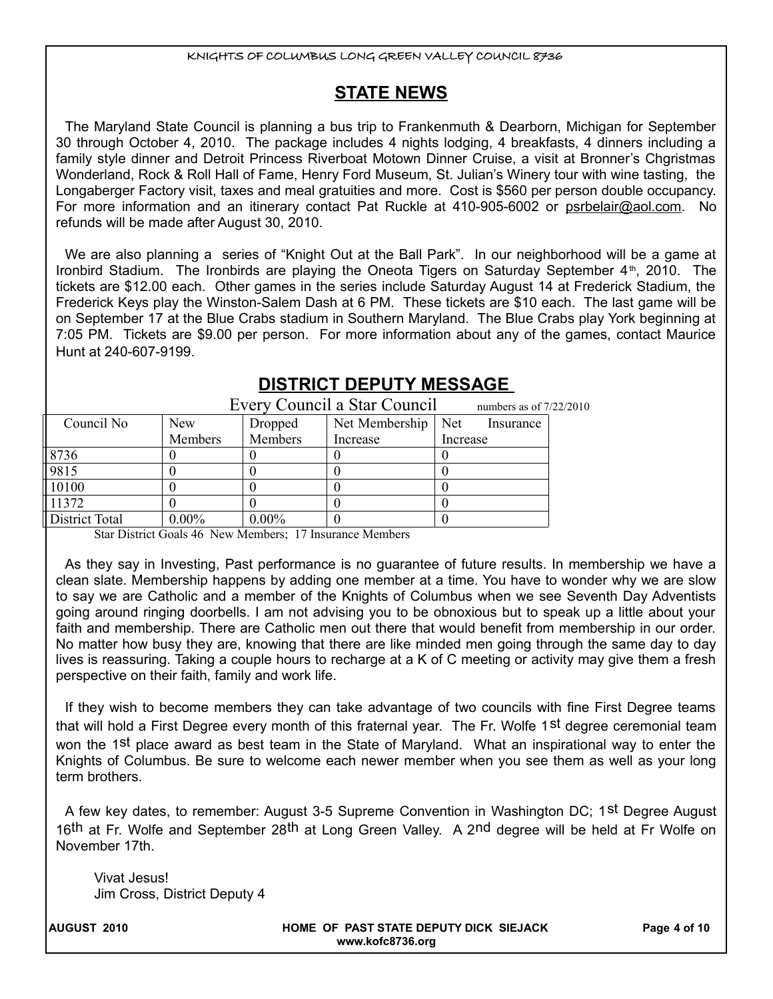## **STATE NEWS**

The Maryland State Council is planning a bus trip to Frankenmuth & Dearborn, Michigan for September 30 through October 4, 2010. The package includes 4 nights lodging, 4 breakfasts, 4 dinners including a family style dinner and Detroit Princess Riverboat Motown Dinner Cruise, a visit at Bronner's Chgristmas Wonderland, Rock & Roll Hall of Fame, Henry Ford Museum, St. Julian's Winery tour with wine tasting, the Longaberger Factory visit, taxes and meal gratuities and more. Cost is \$560 per person double occupancy. For more information and an itinerary contact Pat Ruckle at 410-905-6002 or psrbelair@aol.com. No refunds will be made after August 30, 2010.

We are also planning a series of "Knight Out at the Ball Park". In our neighborhood will be a game at Ironbird Stadium. The Ironbirds are playing the Oneota Tigers on Saturday September 4<sup>th</sup>, 2010. The tickets are \$12.00 each. Other games in the series include Saturday August 14 at Frederick Stadium, the Frederick Keys play the Winston-Salem Dash at 6 PM. These tickets are \$10 each. The last game will be on September 17 at the Blue Crabs stadium in Southern Maryland. The Blue Crabs play York beginning at 7:05 PM. Tickets are \$9.00 per person. For more information about any of the games, contact Maurice Hunt at 240-607-9199.

| Every Council a Star Council<br>numbers as of $7/22/2010$ |            |          |                |                  |  |  |  |
|-----------------------------------------------------------|------------|----------|----------------|------------------|--|--|--|
| Council No                                                | <b>New</b> | Dropped  | Net Membership | Net<br>Insurance |  |  |  |
|                                                           | Members    | Members  | Increase       | Increase         |  |  |  |
| 8736                                                      |            |          |                |                  |  |  |  |
| 9815                                                      |            |          |                |                  |  |  |  |
| 10100                                                     |            |          |                |                  |  |  |  |
| 11372                                                     |            |          |                |                  |  |  |  |
| District Total                                            | $0.00\%$   | $0.00\%$ |                |                  |  |  |  |

## **DISTRICT DEPUTY MESSAGE**

Star District Goals 46 New Members; 17 Insurance Members

As they say in Investing, Past performance is no guarantee of future results. In membership we have a clean slate. Membership happens by adding one member at a time. You have to wonder why we are slow to say we are Catholic and a member of the Knights of Columbus when we see Seventh Day Adventists going around ringing doorbells. I am not advising you to be obnoxious but to speak up a little about your faith and membership. There are Catholic men out there that would benefit from membership in our order. No matter how busy they are, knowing that there are like minded men going through the same day to day lives is reassuring. Taking a couple hours to recharge at a K of C meeting or activity may give them a fresh perspective on their faith, family and work life.

If they wish to become members they can take advantage of two councils with fine First Degree teams that will hold a First Degree every month of this fraternal year. The Fr. Wolfe 1<sup>st</sup> degree ceremonial team won the 1st place award as best team in the State of Maryland. What an inspirational way to enter the Knights of Columbus. Be sure to welcome each newer member when you see them as well as your long term brothers.

A few key dates, to remember: August 3-5 Supreme Convention in Washington DC; 1st Degree August 16<sup>th</sup> at Fr. Wolfe and September 28<sup>th</sup> at Long Green Valley. A 2<sup>nd</sup> degree will be held at Fr Wolfe on November 17th.

Vivat Jesus! Jim Cross, District Deputy 4

**AUGUST 2010 HOME OF PAST STATE DEPUTY DICK SIEJACK Page 4 of 10 www.kofc8736.org**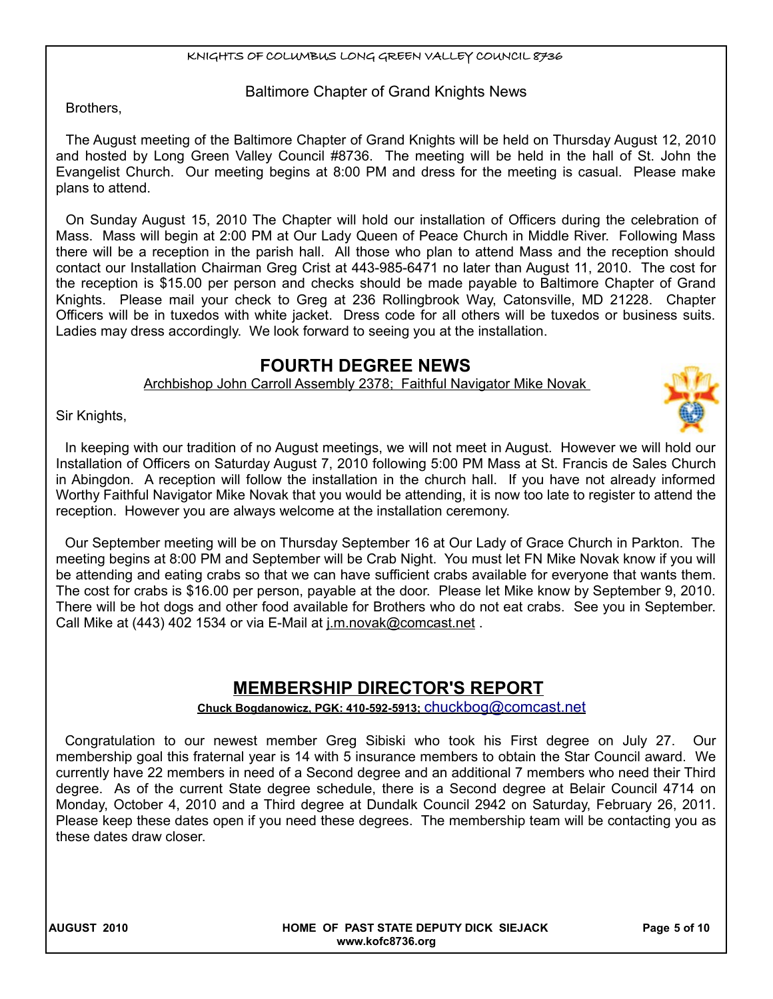#### Baltimore Chapter of Grand Knights News

Brothers,

The August meeting of the Baltimore Chapter of Grand Knights will be held on Thursday August 12, 2010 and hosted by Long Green Valley Council #8736. The meeting will be held in the hall of St. John the Evangelist Church. Our meeting begins at 8:00 PM and dress for the meeting is casual. Please make plans to attend.

On Sunday August 15, 2010 The Chapter will hold our installation of Officers during the celebration of Mass. Mass will begin at 2:00 PM at Our Lady Queen of Peace Church in Middle River. Following Mass there will be a reception in the parish hall. All those who plan to attend Mass and the reception should contact our Installation Chairman Greg Crist at 443-985-6471 no later than August 11, 2010. The cost for the reception is \$15.00 per person and checks should be made payable to Baltimore Chapter of Grand Knights. Please mail your check to Greg at 236 Rollingbrook Way, Catonsville, MD 21228. Chapter Officers will be in tuxedos with white jacket. Dress code for all others will be tuxedos or business suits. Ladies may dress accordingly. We look forward to seeing you at the installation.

## **FOURTH DEGREE NEWS**

Archbishop John Carroll Assembly 2378; Faithful Navigator Mike Novak

Sir Knights,

In keeping with our tradition of no August meetings, we will not meet in August. However we will hold our Installation of Officers on Saturday August 7, 2010 following 5:00 PM Mass at St. Francis de Sales Church in Abingdon. A reception will follow the installation in the church hall. If you have not already informed Worthy Faithful Navigator Mike Novak that you would be attending, it is now too late to register to attend the reception. However you are always welcome at the installation ceremony.

Our September meeting will be on Thursday September 16 at Our Lady of Grace Church in Parkton. The meeting begins at 8:00 PM and September will be Crab Night. You must let FN Mike Novak know if you will be attending and eating crabs so that we can have sufficient crabs available for everyone that wants them. The cost for crabs is \$16.00 per person, payable at the door. Please let Mike know by September 9, 2010. There will be hot dogs and other food available for Brothers who do not eat crabs. See you in September. Call Mike at (443) 402 1534 or via E-Mail at j.m.novak@comcast.net.

## **MEMBERSHIP DIRECTOR'S REPORT**

#### **Chuck Bogdanowicz, PGK: 410-592-5913;** [chuckbog@comcast.net](mailto:chuckbog@comcast.net)

Congratulation to our newest member Greg Sibiski who took his First degree on July 27. Our membership goal this fraternal year is 14 with 5 insurance members to obtain the Star Council award. We currently have 22 members in need of a Second degree and an additional 7 members who need their Third degree. As of the current State degree schedule, there is a Second degree at Belair Council 4714 on Monday, October 4, 2010 and a Third degree at Dundalk Council 2942 on Saturday, February 26, 2011. Please keep these dates open if you need these degrees. The membership team will be contacting you as these dates draw closer.

**AUGUST 2010 HOME OF PAST STATE DEPUTY DICK SIEJACK Page 5 of 10 www.kofc8736.org**

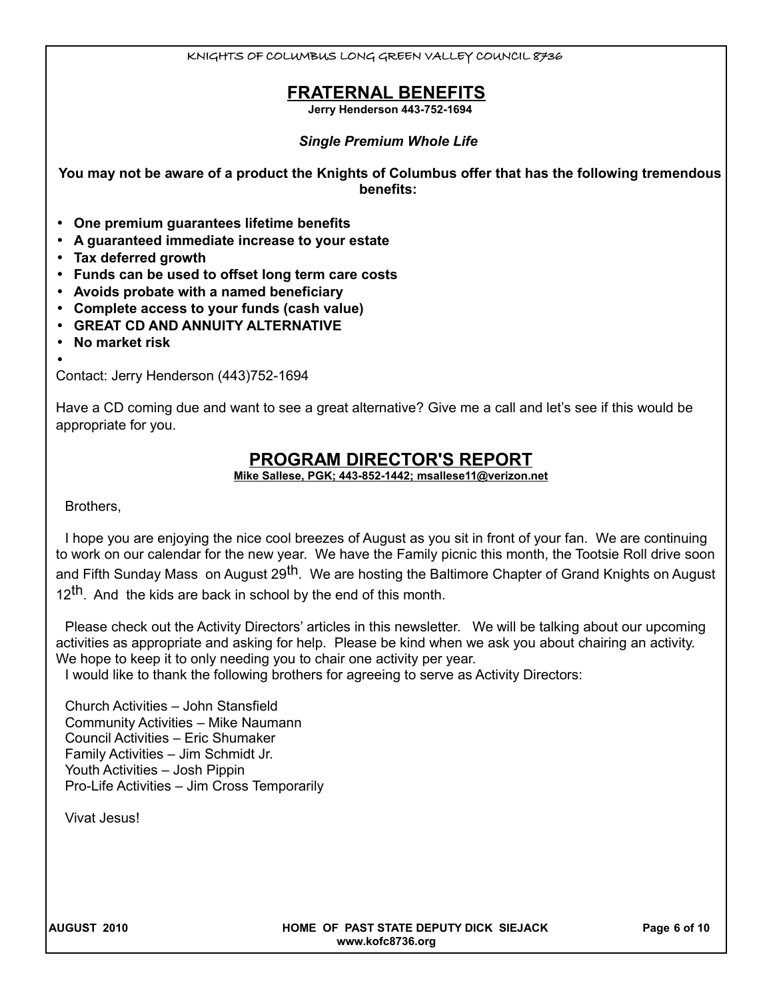## **FRATERNAL BENEFITS**

**Jerry Henderson 443-752-1694**

#### *Single Premium Whole Life*

**You may not be aware of a product the Knights of Columbus offer that has the following tremendous benefits:** 

- **One premium guarantees lifetime benefits**
- **A guaranteed immediate increase to your estate**
- **Tax deferred growth**
- **Funds can be used to offset long term care costs**
- **Avoids probate with a named beneficiary**
- **Complete access to your funds (cash value)**
- **GREAT CD AND ANNUITY ALTERNATIVE**
- **No market risk**

• Contact: Jerry Henderson (443)752-1694

Have a CD coming due and want to see a great alternative? Give me a call and let's see if this would be appropriate for you.

#### **PROGRAM DIRECTOR'S REPORT**

 **Mike Sallese, PGK; 443-852-1442; msallese11@verizon.net**

Brothers,

I hope you are enjoying the nice cool breezes of August as you sit in front of your fan. We are continuing to work on our calendar for the new year. We have the Family picnic this month, the Tootsie Roll drive soon and Fifth Sunday Mass on August 29<sup>th</sup>. We are hosting the Baltimore Chapter of Grand Knights on August 12<sup>th</sup>. And the kids are back in school by the end of this month.

Please check out the Activity Directors' articles in this newsletter. We will be talking about our upcoming activities as appropriate and asking for help. Please be kind when we ask you about chairing an activity. We hope to keep it to only needing you to chair one activity per year.

I would like to thank the following brothers for agreeing to serve as Activity Directors:

Church Activities – John Stansfield Community Activities – Mike Naumann Council Activities – Eric Shumaker Family Activities – Jim Schmidt Jr. Youth Activities – Josh Pippin Pro-Life Activities – Jim Cross Temporarily

Vivat Jesus!

**AUGUST 2010 HOME OF PAST STATE DEPUTY DICK SIEJACK Page 6 of 10 www.kofc8736.org**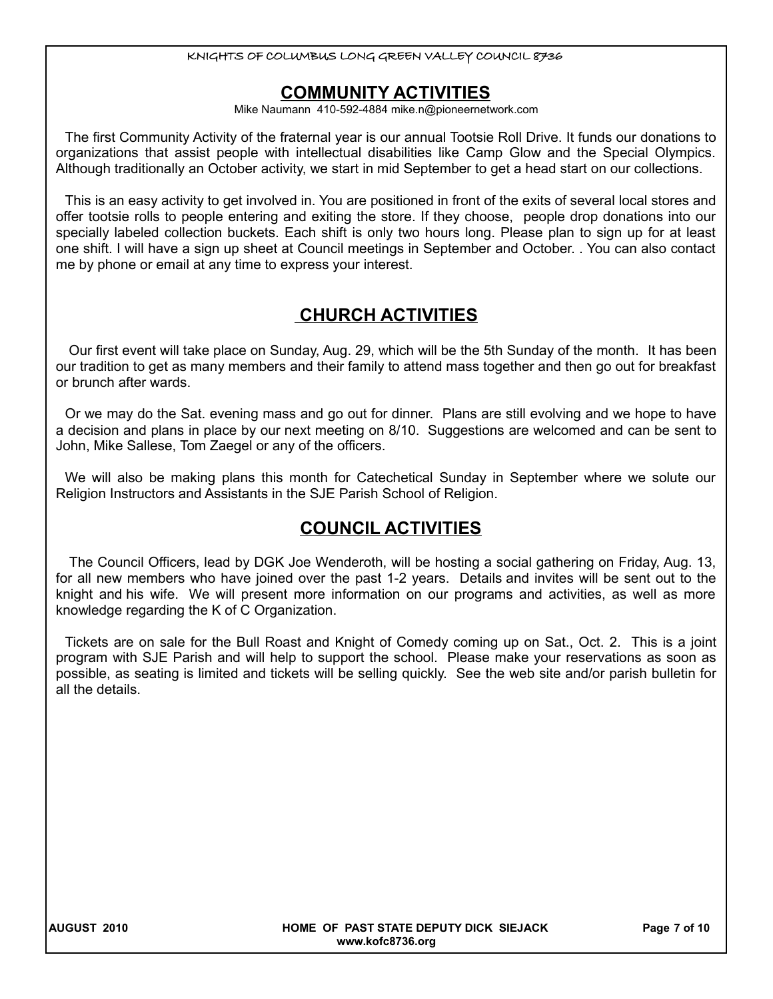## **COMMUNITY ACTIVITIES**

Mike Naumann 410-592-4884 mike.n@pioneernetwork.com

The first Community Activity of the fraternal year is our annual Tootsie Roll Drive. It funds our donations to organizations that assist people with intellectual disabilities like Camp Glow and the Special Olympics. Although traditionally an October activity, we start in mid September to get a head start on our collections.

This is an easy activity to get involved in. You are positioned in front of the exits of several local stores and offer tootsie rolls to people entering and exiting the store. If they choose, people drop donations into our specially labeled collection buckets. Each shift is only two hours long. Please plan to sign up for at least one shift. I will have a sign up sheet at Council meetings in September and October. . You can also contact me by phone or email at any time to express your interest.

## **CHURCH ACTIVITIES**

 Our first event will take place on Sunday, Aug. 29, which will be the 5th Sunday of the month. It has been our tradition to get as many members and their family to attend mass together and then go out for breakfast or brunch after wards.

Or we may do the Sat. evening mass and go out for dinner. Plans are still evolving and we hope to have a decision and plans in place by our next meeting on 8/10. Suggestions are welcomed and can be sent to John, Mike Sallese, Tom Zaegel or any of the officers.

We will also be making plans this month for Catechetical Sunday in September where we solute our Religion Instructors and Assistants in the SJE Parish School of Religion.

## **COUNCIL ACTIVITIES**

 The Council Officers, lead by DGK Joe Wenderoth, will be hosting a social gathering on Friday, Aug. 13, for all new members who have joined over the past 1-2 years. Details and invites will be sent out to the knight and his wife. We will present more information on our programs and activities, as well as more knowledge regarding the K of C Organization.

Tickets are on sale for the Bull Roast and Knight of Comedy coming up on Sat., Oct. 2. This is a joint program with SJE Parish and will help to support the school. Please make your reservations as soon as possible, as seating is limited and tickets will be selling quickly. See the web site and/or parish bulletin for all the details.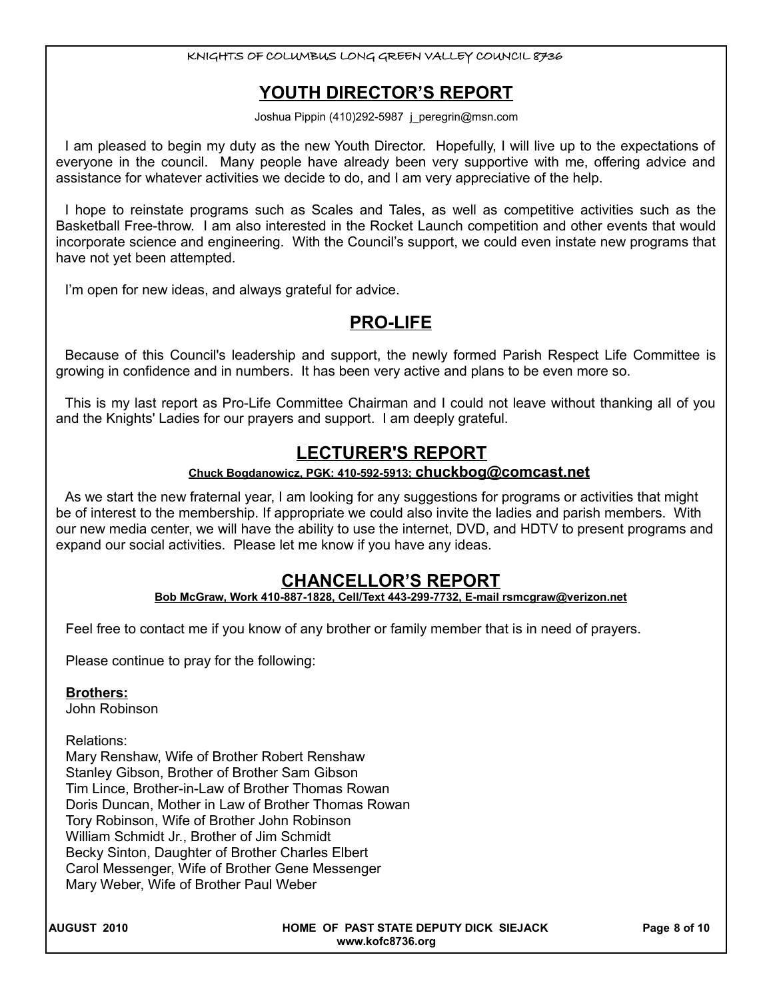## **YOUTH DIRECTOR'S REPORT**

Joshua Pippin (410)292-5987 j\_peregrin@msn.com

I am pleased to begin my duty as the new Youth Director. Hopefully, I will live up to the expectations of everyone in the council. Many people have already been very supportive with me, offering advice and assistance for whatever activities we decide to do, and I am very appreciative of the help.

I hope to reinstate programs such as Scales and Tales, as well as competitive activities such as the Basketball Free-throw. I am also interested in the Rocket Launch competition and other events that would incorporate science and engineering. With the Council's support, we could even instate new programs that have not yet been attempted.

I'm open for new ideas, and always grateful for advice.

## **PRO-LIFE**

Because of this Council's leadership and support, the newly formed Parish Respect Life Committee is growing in confidence and in numbers. It has been very active and plans to be even more so.

This is my last report as Pro-Life Committee Chairman and I could not leave without thanking all of you and the Knights' Ladies for our prayers and support. I am deeply grateful.

## **LECTURER'S REPORT**

#### **Chuck Bogdanowicz, PGK: 410-592-5913; [chuckbog@comcast.net](mailto:chuckbog@comcast.net)**

As we start the new fraternal year, I am looking for any suggestions for programs or activities that might be of interest to the membership. If appropriate we could also invite the ladies and parish members. With our new media center, we will have the ability to use the internet, DVD, and HDTV to present programs and expand our social activities. Please let me know if you have any ideas.

## **CHANCELLOR'S REPORT**

#### **Bob McGraw, Work 410-887-1828, Cell/Text 443-299-7732, E-mail rsmcgraw@verizon.net**

Feel free to contact me if you know of any brother or family member that is in need of prayers.

Please continue to pray for the following:

#### **Brothers:**

John Robinson

#### Relations:

Mary Renshaw, Wife of Brother Robert Renshaw Stanley Gibson, Brother of Brother Sam Gibson Tim Lince, Brother-in-Law of Brother Thomas Rowan Doris Duncan, Mother in Law of Brother Thomas Rowan Tory Robinson, Wife of Brother John Robinson William Schmidt Jr., Brother of Jim Schmidt Becky Sinton, Daughter of Brother Charles Elbert Carol Messenger, Wife of Brother Gene Messenger Mary Weber, Wife of Brother Paul Weber

**AUGUST 2010 HOME OF PAST STATE DEPUTY DICK SIEJACK Page 8 of 10 www.kofc8736.org**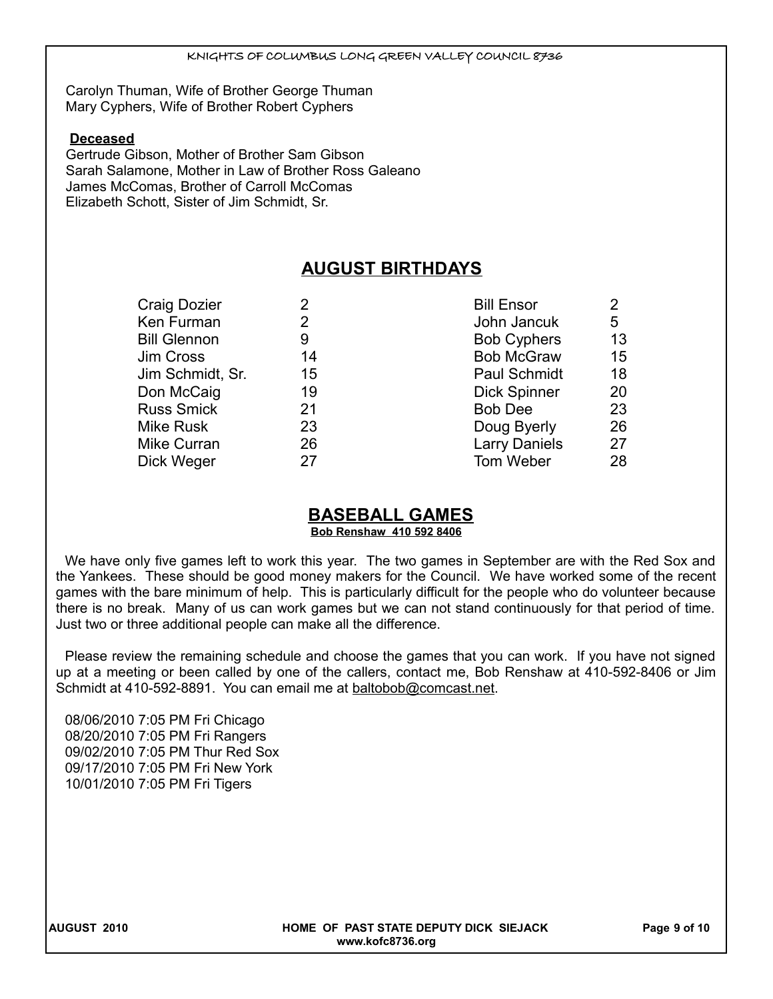Carolyn Thuman, Wife of Brother George Thuman Mary Cyphers, Wife of Brother Robert Cyphers

#### **Deceased**

Gertrude Gibson, Mother of Brother Sam Gibson Sarah Salamone, Mother in Law of Brother Ross Galeano James McComas, Brother of Carroll McComas Elizabeth Schott, Sister of Jim Schmidt, Sr.

## **AUGUST BIRTHDAYS**

| 2  | <b>Bill Ensor</b>    | $\overline{2}$ |
|----|----------------------|----------------|
| 2  | John Jancuk          | 5              |
| 9  | <b>Bob Cyphers</b>   | 13             |
| 14 | <b>Bob McGraw</b>    | 15             |
| 15 | <b>Paul Schmidt</b>  | 18             |
| 19 | <b>Dick Spinner</b>  | 20             |
| 21 | <b>Bob Dee</b>       | 23             |
| 23 | Doug Byerly          | 26             |
| 26 | <b>Larry Daniels</b> | 27             |
| 27 | Tom Weber            | 28             |
|    |                      |                |

## **BASEBALL GAMES**

**Bob Renshaw 410 592 8406**

We have only five games left to work this year. The two games in September are with the Red Sox and the Yankees. These should be good money makers for the Council. We have worked some of the recent games with the bare minimum of help. This is particularly difficult for the people who do volunteer because there is no break. Many of us can work games but we can not stand continuously for that period of time. Just two or three additional people can make all the difference.

Please review the remaining schedule and choose the games that you can work. If you have not signed up at a meeting or been called by one of the callers, contact me, Bob Renshaw at 410-592-8406 or Jim Schmidt at 410-592-8891. You can email me at baltobob@comcast.net.

08/06/2010 7:05 PM Fri Chicago 08/20/2010 7:05 PM Fri Rangers 09/02/2010 7:05 PM Thur Red Sox 09/17/2010 7:05 PM Fri New York 10/01/2010 7:05 PM Fri Tigers

**AUGUST 2010 HOME OF PAST STATE DEPUTY DICK SIEJACK Page 9 of 10 www.kofc8736.org**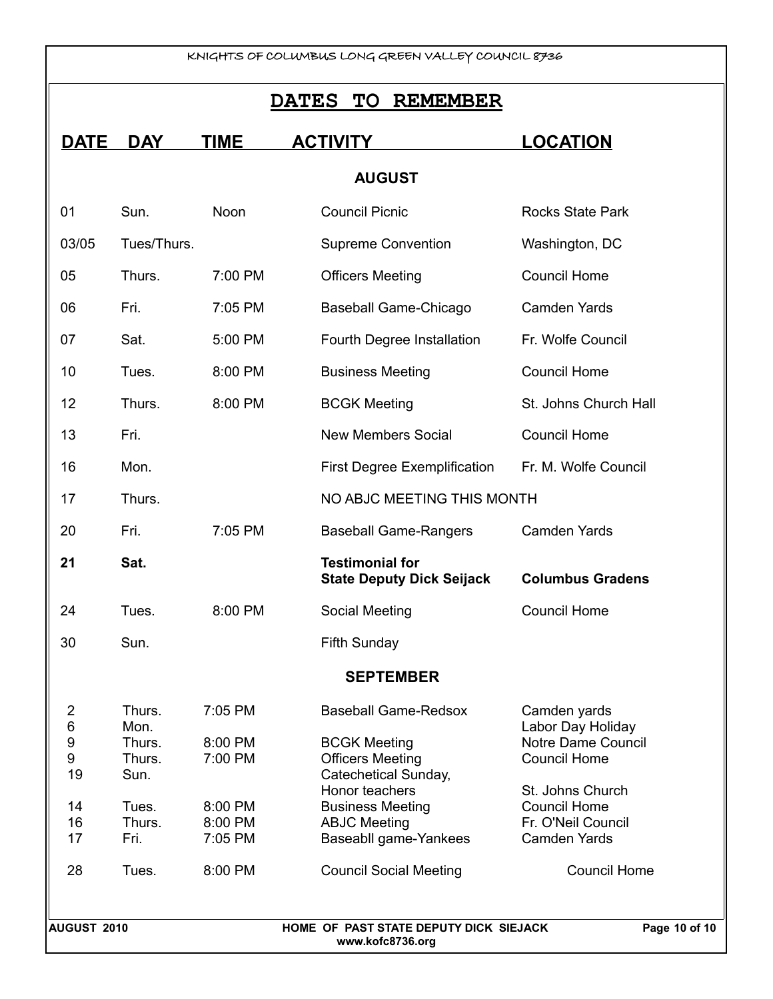## **DATES TO REMEMBER**

| <b>DATE</b>                                                 | <b>DAY</b>                                                                     | <b>TIME</b>                                                               | <b>ACTIVITY</b>                                                                                                                                                                                                                     | <b>LOCATION</b>                                                                                                                                                                               |  |
|-------------------------------------------------------------|--------------------------------------------------------------------------------|---------------------------------------------------------------------------|-------------------------------------------------------------------------------------------------------------------------------------------------------------------------------------------------------------------------------------|-----------------------------------------------------------------------------------------------------------------------------------------------------------------------------------------------|--|
|                                                             |                                                                                |                                                                           | <b>AUGUST</b>                                                                                                                                                                                                                       |                                                                                                                                                                                               |  |
| 01                                                          | Sun.                                                                           | Noon                                                                      | <b>Council Picnic</b>                                                                                                                                                                                                               | <b>Rocks State Park</b>                                                                                                                                                                       |  |
| 03/05                                                       | Tues/Thurs.                                                                    |                                                                           | <b>Supreme Convention</b>                                                                                                                                                                                                           | Washington, DC                                                                                                                                                                                |  |
| 05                                                          | Thurs.                                                                         | 7:00 PM                                                                   | <b>Officers Meeting</b>                                                                                                                                                                                                             | <b>Council Home</b>                                                                                                                                                                           |  |
| 06                                                          | Fri.                                                                           | 7:05 PM                                                                   | <b>Baseball Game-Chicago</b>                                                                                                                                                                                                        | <b>Camden Yards</b>                                                                                                                                                                           |  |
| 07                                                          | Sat.                                                                           | 5:00 PM                                                                   | Fourth Degree Installation                                                                                                                                                                                                          | Fr. Wolfe Council                                                                                                                                                                             |  |
| 10                                                          | Tues.                                                                          | 8:00 PM                                                                   | <b>Business Meeting</b>                                                                                                                                                                                                             | <b>Council Home</b>                                                                                                                                                                           |  |
| 12                                                          | Thurs.                                                                         | 8:00 PM                                                                   | <b>BCGK Meeting</b>                                                                                                                                                                                                                 | St. Johns Church Hall                                                                                                                                                                         |  |
| 13                                                          | Fri.                                                                           |                                                                           | <b>New Members Social</b>                                                                                                                                                                                                           | <b>Council Home</b>                                                                                                                                                                           |  |
| 16                                                          | Mon.                                                                           |                                                                           | <b>First Degree Exemplification</b>                                                                                                                                                                                                 | Fr. M. Wolfe Council                                                                                                                                                                          |  |
| 17                                                          | Thurs.                                                                         |                                                                           | NO ABJC MEETING THIS MONTH                                                                                                                                                                                                          |                                                                                                                                                                                               |  |
| 20                                                          | Fri.                                                                           | 7:05 PM                                                                   | <b>Baseball Game-Rangers</b>                                                                                                                                                                                                        | <b>Camden Yards</b>                                                                                                                                                                           |  |
| 21                                                          | Sat.                                                                           |                                                                           | <b>Testimonial for</b><br><b>State Deputy Dick Seijack</b>                                                                                                                                                                          | <b>Columbus Gradens</b>                                                                                                                                                                       |  |
| 24                                                          | Tues.                                                                          | 8:00 PM                                                                   | Social Meeting                                                                                                                                                                                                                      | <b>Council Home</b>                                                                                                                                                                           |  |
| 30                                                          | Sun.                                                                           |                                                                           | <b>Fifth Sunday</b>                                                                                                                                                                                                                 |                                                                                                                                                                                               |  |
| <b>SEPTEMBER</b>                                            |                                                                                |                                                                           |                                                                                                                                                                                                                                     |                                                                                                                                                                                               |  |
| $\overline{2}$<br>6<br>9<br>9<br>19<br>14<br>16<br>17<br>28 | Thurs.<br>Mon.<br>Thurs.<br>Thurs.<br>Sun.<br>Tues.<br>Thurs.<br>Fri.<br>Tues. | 7:05 PM<br>8:00 PM<br>7:00 PM<br>8:00 PM<br>8:00 PM<br>7:05 PM<br>8:00 PM | <b>Baseball Game-Redsox</b><br><b>BCGK Meeting</b><br><b>Officers Meeting</b><br>Catechetical Sunday,<br>Honor teachers<br><b>Business Meeting</b><br><b>ABJC Meeting</b><br>Baseabll game-Yankees<br><b>Council Social Meeting</b> | Camden yards<br>Labor Day Holiday<br>Notre Dame Council<br><b>Council Home</b><br>St. Johns Church<br><b>Council Home</b><br>Fr. O'Neil Council<br><b>Camden Yards</b><br><b>Council Home</b> |  |
|                                                             |                                                                                |                                                                           |                                                                                                                                                                                                                                     |                                                                                                                                                                                               |  |
| <b>AUGUST 2010</b>                                          |                                                                                |                                                                           | HOME OF PAST STATE DEPUTY DICK SIEJACK<br>www.kofc8736.org                                                                                                                                                                          | Page 10 of 10                                                                                                                                                                                 |  |